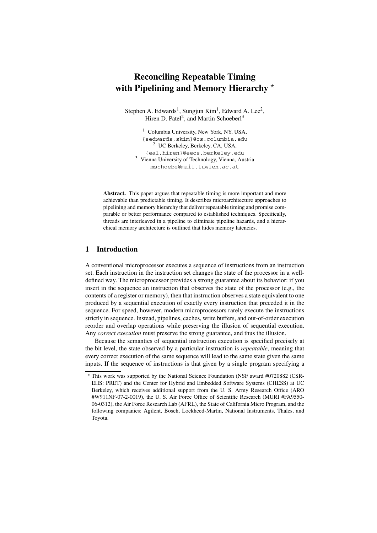# **Reconciling Repeatable Timing with Pipelining and Memory Hierarchy** ?

Stephen A. Edwards<sup>1</sup>, Sungjun Kim<sup>1</sup>, Edward A. Lee<sup>2</sup>, Hiren D. Patel<sup>2</sup>, and Martin Schoeberl<sup>3</sup>

<sup>1</sup> Columbia University, New York, NY, USA, {sedwards,skim}@cs.columbia.edu <sup>2</sup> UC Berkeley, Berkeley, CA, USA, {eal,hiren}@eecs.berkeley.edu <sup>3</sup> Vienna University of Technology, Vienna, Austria mschoebe@mail.tuwien.ac.at

**Abstract.** This paper argues that repeatable timing is more important and more achievable than predictable timing. It describes microarchitecture approaches to pipelining and memory hierarchy that deliver repeatable timing and promise comparable or better performance compared to established techniques. Specifically, threads are interleaved in a pipeline to eliminate pipeline hazards, and a hierarchical memory architecture is outlined that hides memory latencies.

# **1 Introduction**

A conventional microprocessor executes a sequence of instructions from an instruction set. Each instruction in the instruction set changes the state of the processor in a welldefined way. The microprocessor provides a strong guarantee about its behavior: if you insert in the sequence an instruction that observes the state of the processor (e.g., the contents of a register or memory), then that instruction observes a state equivalent to one produced by a sequential execution of exactly every instruction that preceded it in the sequence. For speed, however, modern microprocessors rarely execute the instructions strictly in sequence. Instead, pipelines, caches, write buffers, and out-of-order execution reorder and overlap operations while preserving the illusion of sequential execution. Any *correct execution* must preserve the strong guarantee, and thus the illusion.

Because the semantics of sequential instruction execution is specified precisely at the bit level, the state observed by a particular instruction is *repeatable*, meaning that every correct execution of the same sequence will lead to the same state given the same inputs. If the sequence of instructions is that given by a single program specifying a

This work was supported by the National Science Foundation (NSF award #0720882 (CSR-EHS: PRET) and the Center for Hybrid and Embedded Software Systems (CHESS) at UC Berkeley, which receives additional support from the U. S. Army Research Office (ARO #W911NF-07-2-0019), the U. S. Air Force Office of Scientific Research (MURI #FA9550- 06-0312), the Air Force Research Lab (AFRL), the State of California Micro Program, and the following companies: Agilent, Bosch, Lockheed-Martin, National Instruments, Thales, and Toyota.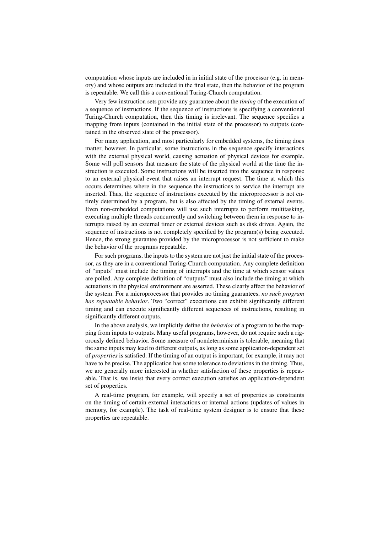computation whose inputs are included in in initial state of the processor (e.g. in memory) and whose outputs are included in the final state, then the behavior of the program is repeatable. We call this a conventional Turing-Church computation.

Very few instruction sets provide any guarantee about the *timing* of the execution of a sequence of instructions. If the sequence of instructions is specifying a conventional Turing-Church computation, then this timing is irrelevant. The sequence specifies a mapping from inputs (contained in the initial state of the processor) to outputs (contained in the observed state of the processor).

For many application, and most particularly for embedded systems, the timing does matter, however. In particular, some instructions in the sequence specify interactions with the external physical world, causing actuation of physical devices for example. Some will poll sensors that measure the state of the physical world at the time the instruction is executed. Some instructions will be inserted into the sequence in response to an external physical event that raises an interrupt request. The time at which this occurs determines where in the sequence the instructions to service the interrupt are inserted. Thus, the sequence of instructions executed by the microprocessor is not entirely determined by a program, but is also affected by the timing of external events. Even non-embedded computations will use such interrupts to perform multitasking, executing multiple threads concurrently and switching between them in response to interrupts raised by an external timer or external devices such as disk drives. Again, the sequence of instructions is not completely specified by the program(s) being executed. Hence, the strong guarantee provided by the microprocessor is not sufficient to make the behavior of the programs repeatable.

For such programs, the inputs to the system are not just the initial state of the processor, as they are in a conventional Turing-Church computation. Any complete definition of "inputs" must include the timing of interrupts and the time at which sensor values are polled. Any complete definition of "outputs" must also include the timing at which actuations in the physical environment are asserted. These clearly affect the behavior of the system. For a microprocessor that provides no timing guarantees, *no such program has repeatable behavior*. Two "correct" executions can exhibit significantly different timing and can execute significantly different sequences of instructions, resulting in significantly different outputs.

In the above analysis, we implicitly define the *behavior* of a program to be the mapping from inputs to outputs. Many useful programs, however, do not require such a rigorously defined behavior. Some measure of nondeterminism is tolerable, meaning that the same inputs may lead to different outputs, as long as some application-dependent set of *properties* is satisfied. If the timing of an output is important, for example, it may not have to be precise. The application has some tolerance to deviations in the timing. Thus, we are generally more interested in whether satisfaction of these properties is repeatable. That is, we insist that every correct execution satisfies an application-dependent set of properties.

A real-time program, for example, will specify a set of properties as constraints on the timing of certain external interactions or internal actions (updates of values in memory, for example). The task of real-time system designer is to ensure that these properties are repeatable.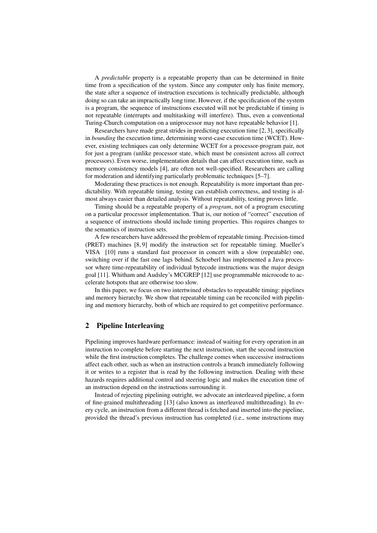A *predictable* property is a repeatable property than can be determined in finite time from a specification of the system. Since any computer only has finite memory, the state after a sequence of instruction executions is technically predictable, although doing so can take an impractically long time. However, if the specification of the system is a program, the sequence of instructions executed will not be predictable if timing is not repeatable (interrupts and multitasking will interfere). Thus, even a conventional Turing-Church computation on a uniprocessor may not have repeatable behavior [1].

Researchers have made great strides in predicting execution time [2, 3], specifically in *bounding* the execution time, determining worst-case execution time (WCET). However, existing techniques can only determine WCET for a processor-program pair, not for just a program (unlike processor state, which must be consistent across all correct processors). Even worse, implementation details that can affect execution time, such as memory consistency models [4], are often not well-specified. Researchers are calling for moderation and identifying particularly problematic techniques [5–7].

Moderating these practices is not enough. Repeatability is more important than predictability. With repeatable timing, testing can establish correctness, and testing is almost always easier than detailed analysis. Without repeatability, testing proves little.

Timing should be a repeatable property of a *program*, not of a program executing on a particular processor implementation. That is, our notion of "correct" execution of a sequence of instructions should include timing properties. This requires changes to the semantics of instruction sets.

A few researchers have addressed the problem of repeatable timing. Precision-timed (PRET) machines [8, 9] modify the instruction set for repeatable timing. Mueller's VISA [10] runs a standard fast processor in concert with a slow (repeatable) one, switching over if the fast one lags behind. Schoeberl has implemented a Java processor where time-repeatability of individual bytecode instructions was the major design goal [11]. Whitham and Audsley's MCGREP [12] use programmable microcode to accelerate hotspots that are otherwise too slow.

In this paper, we focus on two intertwined obstacles to repeatable timing: pipelines and memory hierarchy. We show that repeatable timing can be reconciled with pipelining and memory hierarchy, both of which are required to get competitive performance.

## **2 Pipeline Interleaving**

Pipelining improves hardware performance: instead of waiting for every operation in an instruction to complete before starting the next instruction, start the second instruction while the first instruction completes. The challenge comes when successive instructions affect each other, such as when an instruction controls a branch immediately following it or writes to a register that is read by the following instruction. Dealing with these hazards requires additional control and steering logic and makes the execution time of an instruction depend on the instructions surrounding it.

Instead of rejecting pipelining outright, we advocate an interleaved pipeline, a form of fine-grained multithreading [13] (also known as interleaved multithreading). In every cycle, an instruction from a different thread is fetched and inserted into the pipeline, provided the thread's previous instruction has completed (i.e., some instructions may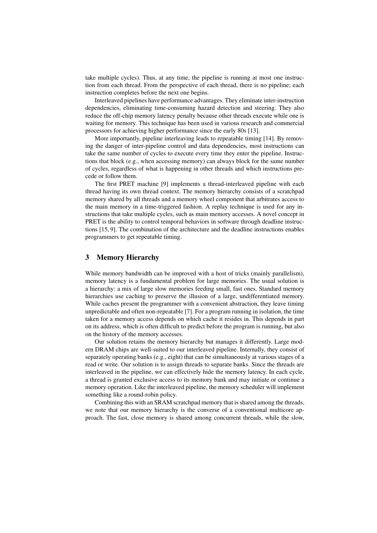take multiple cycles). Thus, at any time, the pipeline is running at most one instruction from each thread. From the perspective of each thread, there is no pipeline; each instruction completes before the next one begins.

Interleaved pipelines have performance advantages. They eliminate inter-instruction dependencies, eliminating time-consuming hazard detection and steering. They also reduce the off-chip memory latency penalty because other threads execute while one is waiting for memory. This technique has been used in various research and commercial processors for achieving higher performance since the early 80s [13].

More importantly, pipeline interleaving leads to repeatable timing [14]. By removing the danger of inter-pipeline control and data dependencies, most instructions can take the same number of cycles to execute every time they enter the pipeline. Instructions that block (e.g., when accessing memory) can always block for the same number of cycles, regardless of what is happening in other threads and which instructions precede or follow them.

The first PRET machine [9] implements a thread-interleaved pipeline with each thread having its own thread context. The memory hierarchy consists of a scratchpad memory shared by all threads and a memory wheel component that arbitrates access to the main memory in a time-triggered fashion. A replay technique is used for any instructions that take multiple cycles, such as main memory accesses. A novel concept in PRET is the ability to control temporal behaviors in software through deadline instructions [15, 9]. The combination of the architecture and the deadline instructions enables programmers to get repeatable timing.

## **3 Memory Hierarchy**

While memory bandwidth can be improved with a host of tricks (mainly parallelism), memory latency is a fundamental problem for large memories. The usual solution is a hierarchy: a mix of large slow memories feeding small, fast ones. Standard memory hierarchies use caching to preserve the illusion of a large, undifferentiated memory. While caches present the programmer with a convenient abstraction, they leave timing unpredictable and often non-repeatable [7]. For a program running in isolation, the time taken for a memory access depends on which cache it resides in. This depends in part on its address, which is often difficult to predict before the program is running, but also on the history of the memory accesses.

Our solution retains the memory hierarchy but manages it differently. Large modern DRAM chips are well-suited to our interleaved pipeline. Internally, they consist of separately operating banks (e.g., eight) that can be simultaneously at various stages of a read or write. Our solution is to assign threads to separate banks. Since the threads are interleaved in the pipeline, we can effectively hide the memory latency. In each cycle, a thread is granted exclusive access to its memory bank and may initiate or continue a memory operation. Like the interleaved pipeline, the memory scheduler will implement something like a round-robin policy.

Combining this with an SRAM scratchpad memory that is shared among the threads, we note that our memory hierarchy is the converse of a conventional multicore approach. The fast, close memory is shared among concurrent threads, while the slow,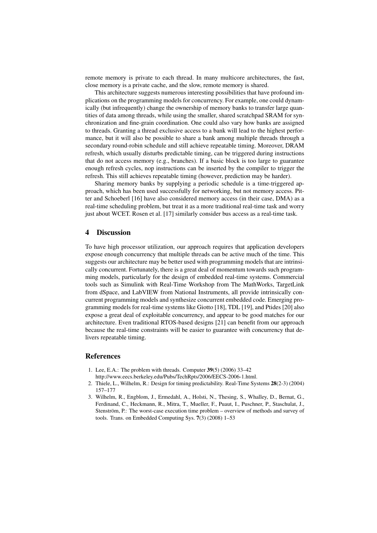remote memory is private to each thread. In many multicore architectures, the fast, close memory is a private cache, and the slow, remote memory is shared.

This architecture suggests numerous interesting possibilities that have profound implications on the programming models for concurrency. For example, one could dynamically (but infrequently) change the ownership of memory banks to transfer large quantities of data among threads, while using the smaller, shared scratchpad SRAM for synchronization and fine-grain coordination. One could also vary how banks are assigned to threads. Granting a thread exclusive access to a bank will lead to the highest performance, but it will also be possible to share a bank among multiple threads through a secondary round-robin schedule and still achieve repeatable timing. Moreover, DRAM refresh, which usually disturbs predictable timing, can be triggered during instructions that do not access memory (e.g., branches). If a basic block is too large to guarantee enough refresh cycles, nop instructions can be inserted by the compiler to trigger the refresh. This still achieves repeatable timing (however, prediction may be harder).

Sharing memory banks by supplying a periodic schedule is a time-triggered approach, which has been used successfully for networking, but not memory access. Pitter and Schoeberl [16] have also considered memory access (in their case, DMA) as a real-time scheduling problem, but treat it as a more traditional real-time task and worry just about WCET. Rosen et al. [17] similarly consider bus access as a real-time task.

### **4 Discussion**

To have high processor utilization, our approach requires that application developers expose enough concurrency that multiple threads can be active much of the time. This suggests our architecture may be better used with programming models that are intrinsically concurrent. Fortunately, there is a great deal of momentum towards such programming models, particularly for the design of embedded real-time systems. Commercial tools such as Simulink with Real-Time Workshop from The MathWorks, TargetLink from dSpace, and LabVIEW from National Instruments, all provide intrinsically concurrent programming models and synthesize concurrent embedded code. Emerging programming models for real-time systems like Giotto [18], TDL [19], and Ptides [20] also expose a great deal of exploitable concurrency, and appear to be good matches for our architecture. Even traditional RTOS-based designs [21] can benefit from our approach because the real-time constraints will be easier to guarantee with concurrency that delivers repeatable timing.

#### **References**

- 1. Lee, E.A.: The problem with threads. Computer **39**(5) (2006) 33–42 http://www.eecs.berkeley.edu/Pubs/TechRpts/2006/EECS-2006-1.html.
- 2. Thiele, L., Wilhelm, R.: Design for timing predictability. Real-Time Systems **28**(2-3) (2004) 157–177
- 3. Wilhelm, R., Engblom, J., Ermedahl, A., Holsti, N., Thesing, S., Whalley, D., Bernat, G., Ferdinand, C., Heckmann, R., Mitra, T., Mueller, F., Puaut, I., Puschner, P., Staschulat, J., Stenström, P.: The worst-case execution time problem – overview of methods and survey of tools. Trans. on Embedded Computing Sys. **7**(3) (2008) 1–53